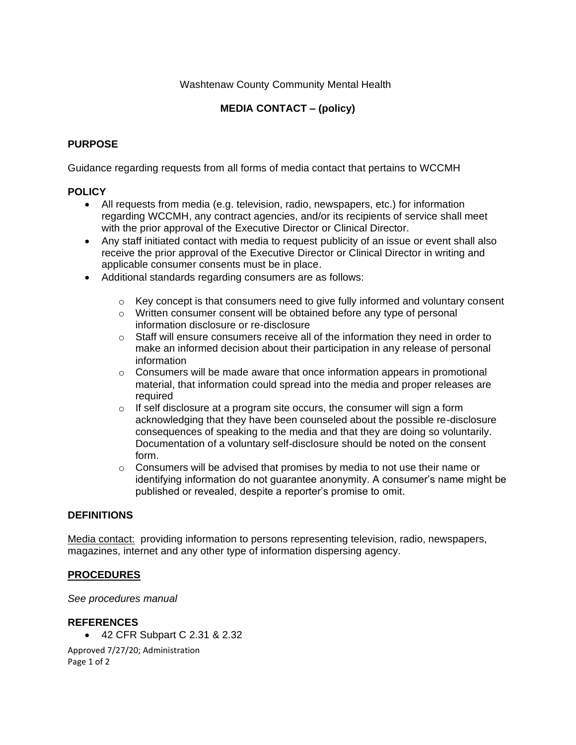#### Washtenaw County Community Mental Health

## **MEDIA CONTACT – (policy)**

### **PURPOSE**

Guidance regarding requests from all forms of media contact that pertains to WCCMH

#### **POLICY**

- All requests from media (e.g. television, radio, newspapers, etc.) for information regarding WCCMH, any contract agencies, and/or its recipients of service shall meet with the prior approval of the Executive Director or Clinical Director.
- Any staff initiated contact with media to request publicity of an issue or event shall also receive the prior approval of the Executive Director or Clinical Director in writing and applicable consumer consents must be in place.
- Additional standards regarding consumers are as follows:
	- $\circ$  Key concept is that consumers need to give fully informed and voluntary consent
	- o Written consumer consent will be obtained before any type of personal information disclosure or re-disclosure
	- $\circ$  Staff will ensure consumers receive all of the information they need in order to make an informed decision about their participation in any release of personal information
	- $\circ$  Consumers will be made aware that once information appears in promotional material, that information could spread into the media and proper releases are required
	- $\circ$  If self disclosure at a program site occurs, the consumer will sign a form acknowledging that they have been counseled about the possible re-disclosure consequences of speaking to the media and that they are doing so voluntarily. Documentation of a voluntary self-disclosure should be noted on the consent form.
	- $\circ$  Consumers will be advised that promises by media to not use their name or identifying information do not guarantee anonymity. A consumer's name might be published or revealed, despite a reporter's promise to omit.

#### **DEFINITIONS**

Media contact: providing information to persons representing television, radio, newspapers, magazines, internet and any other type of information dispersing agency.

#### **PROCEDURES**

*See procedures manual*

#### **REFERENCES**

• 42 CFR Subpart C 2.31 & 2.32

Approved 7/27/20; Administration Page 1 of 2